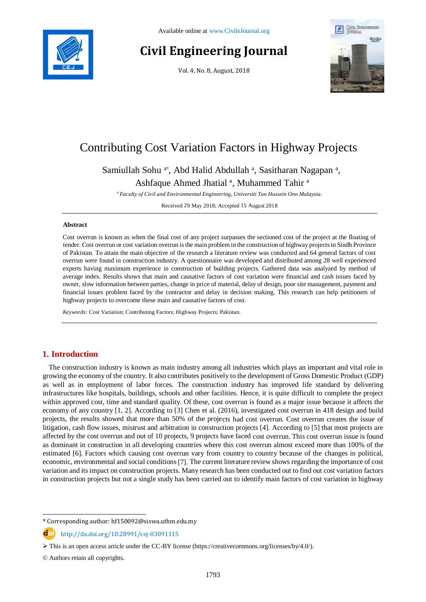

# **Civil Engineering Journal**

Vol. 4, No. 8, August, 2018



# Contributing Cost Variation Factors in Highway Projects

Samiullah Sohu<sup>a\*</sup>, Abd Halid Abdullah<sup>a</sup>, Sasitharan Nagapan<sup>a</sup>,

Ashfaque Ahmed Jhatial<sup>a</sup>, Muhammed Tahir<sup>a</sup>

*<sup>a</sup> Faculty of Civil and Environmental Engineering, Universiti Tun Hussein Onn Malaysia.*

Received 29 May 2018; Accepted 15 August 2018

### **Abstract**

Cost overrun is known as when the final cost of any project surpasses the sectioned cost of the project at the floating of tender. Cost overrun or cost variation overrun is the main problem in the construction of highway projects in Sindh Province of Pakistan. To attain the main objective of the research a literature review was conducted and 64 general factors of cost overrun were found in construction industry. A questionnaire was developed and distributed among 28 well experienced experts having maximum experience in construction of building projects. Gathered data was analyzed by method of average index. Results shows that main and causative factors of cost variation were financial and cash issues faced by owner, slow information between parties, change in price of material, delay of design, poor site management, payment and financial issues problem faced by the contractor and delay in decision making. This research can help petitioners of highway projects to overcome these main and causative factors of cost.

*Keywords:* Cost Variation; Contributing Factors; Highway Projects; Pakistan.

# **1. Introduction**

The construction industry is known as main industry among all industries which plays an important and vital role in growing the economy of the country. It also contributes positively to the development of Gross Domestic Product (GDP) as well as in employment of labor forces. The construction industry has improved life standard by delivering infrastructures like hospitals, buildings, schools and other facilities. Hence, it is quite difficult to complete the project within approved cost, time and standard quality. Of these, cost overrun is found as a major issue because it affects the economy of any country [1, 2]. According to [3] Chen et al. (2016), investigated cost overrun in 418 design and build projects, the results showed that more than 50% of the projects had cost overrun. Cost overrun creates the issue of litigation, cash flow issues, mistrust and arbitration in construction projects [4]. According to [5] that most projects are affected by the cost overrun and out of 10 projects, 9 projects have faced cost overrun. This cost overrun issue is found as dominant in construction in all developing countries where this cost overrun almost exceed more than 100% of the estimated [6]. Factors which causing cost overrun vary from country to country because of the changes in political, economic, environmental and social conditions [7]. The current literature review shows regarding the importance of cost variation and its impact on construction projects. Many research has been conducted out to find out cost variation factors in construction projects but not a single study has been carried out to identify main factors of cost variation in highway

l

<sup>\*</sup> Corresponding author: hf150092@siswa.uthm.edu.my

http://dx.doi.org/10.28991/cej-03091115

 $\triangleright$  This is an open access article under the CC-BY license [\(https://creativecommons.org/licenses/by/4.0/\)](https://creativecommons.org/licenses/by/4.0/).

<sup>©</sup> Authors retain all copyrights.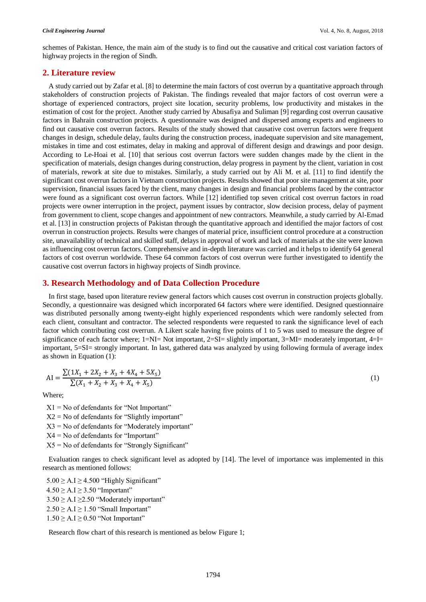(1)

schemes of Pakistan. Hence, the main aim of the study is to find out the causative and critical cost variation factors of highway projects in the region of Sindh.

# **2. Literature review**

A study carried out by Zafar et al. [8] to determine the main factors of cost overrun by a quantitative approach through stakeholders of construction projects of Pakistan. The findings revealed that major factors of cost overrun were a shortage of experienced contractors, project site location, security problems, low productivity and mistakes in the estimation of cost for the project. Another study carried by Abusafiya and Suliman [9] regarding cost overrun causative factors in Bahrain construction projects. A questionnaire was designed and dispersed among experts and engineers to find out causative cost overrun factors. Results of the study showed that causative cost overrun factors were frequent changes in design, schedule delay, faults during the construction process, inadequate supervision and site management, mistakes in time and cost estimates, delay in making and approval of different design and drawings and poor design. According to Le-Hoai et al. [10] that serious cost overrun factors were sudden changes made by the client in the specification of materials, design changes during construction, delay progress in payment by the client, variation in cost of materials, rework at site due to mistakes. Similarly, a study carried out by Ali M. et al. [11] to find identify the significant cost overrun factors in Vietnam construction projects. Results showed that poor site management at site, poor supervision, financial issues faced by the client, many changes in design and financial problems faced by the contractor were found as a significant cost overrun factors. While [12] identified top seven critical cost overrun factors in road projects were owner interruption in the project, payment issues by contractor, slow decision process, delay of payment from government to client, scope changes and appointment of new contractors. Meanwhile, a study carried by Al-Emad et al. [13] in construction projects of Pakistan through the quantitative approach and identified the major factors of cost overrun in construction projects. Results were changes of material price, insufficient control procedure at a construction site, unavailability of technical and skilled staff, delays in approval of work and lack of materials at the site were known as influencing cost overrun factors. Comprehensive and in-depth literature was carried and it helps to identify 64 general factors of cost overrun worldwide. These 64 common factors of cost overrun were further investigated to identify the causative cost overrun factors in highway projects of Sindh province.

# **3. Research Methodology and of Data Collection Procedure**

In first stage, based upon literature review general factors which causes cost overrun in construction projects globally. Secondly, a questionnaire was designed which incorporated 64 factors where were identified. Designed questionnaire was distributed personally among twenty-eight highly experienced respondents which were randomly selected from each client, consultant and contractor. The selected respondents were requested to rank the significance level of each factor which contributing cost overrun. A Likert scale having five points of 1 to 5 was used to measure the degree of significance of each factor where; 1=NI= Not important, 2=SI= slightly important, 3=MI= moderately important, 4=I= important, 5=SI= strongly important. In last, gathered data was analyzed by using following formula of average index as shown in Equation (1):

$$
AI = \frac{\sum (1X_1 + 2X_2 + X_3 + 4X_4 + 5X_5)}{\sum (X_1 + X_2 + X_3 + X_4 + X_5)}
$$

Where;

 $X1 = No$  of defendants for "Not Important"  $X2 = No$  of defendants for "Slightly important"  $X3 = No$  of defendants for "Moderately important" X4 = No of defendants for "Important"  $X5 = No$  of defendants for "Strongly Significant"

Evaluation ranges to check significant level as adopted by [14]. The level of importance was implemented in this research as mentioned follows:

 $5.00 \geq A.I \geq 4.500$  "Highly Significant"  $4.50 \geq A.I \geq 3.50$  "Important"  $3.50 > A.I > 2.50$  "Moderately important"  $2.50 \geq A.I \geq 1.50$  "Small Important"  $1.50 \geq A.I \geq 0.50$  "Not Important"

Research flow chart of this research is mentioned as below Figure 1;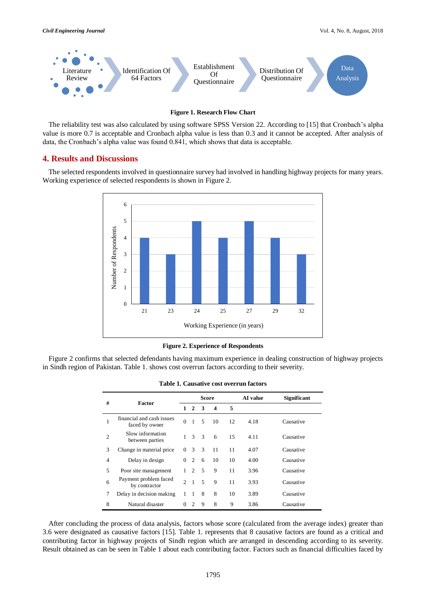

#### **Figure 1. Research Flow Chart**

The reliability test was also calculated by using software SPSS Version 22. According to [15] that Cronbach's alpha value is more 0.7 is acceptable and Cronbach alpha value is less than 0.3 and it cannot be accepted. After analysis of data, the Cronbach's alpha value was found 0.841, which shows that data is acceptable.

## **4. Results and Discussions**

The selected respondents involved in questionnaire survey had involved in handling highway projects for many years. Working experience of selected respondents is shown in Figure 2.



**Figure 2. Experience of Respondents**

Figure 2 confirms that selected defendants having maximum experience in dealing construction of highway projects in Sindh region of Pakistan. Table 1. shows cost overrun factors according to their severity.

| #              | <b>Factor</b>                               | <b>Score</b>                |                |   |                  |    | AI value | <b>Significant</b> |
|----------------|---------------------------------------------|-----------------------------|----------------|---|------------------|----|----------|--------------------|
|                |                                             | $\mathbf{1}$                | $\mathbf{2}$   | 3 | $\boldsymbol{4}$ | 5  |          |                    |
|                | financial and cash issues<br>faced by owner | $\Omega$                    | 1              | 5 | 10               | 12 | 4.18     | Causative          |
| $\overline{c}$ | Slow information<br>between parties         | 1                           | $\mathcal{R}$  | 3 | 6                | 15 | 4.11     | Causative          |
| 3              | Change in material price                    | $\Omega$                    | $\mathcal{R}$  | 3 | 11               | 11 | 4.07     | Causative          |
| $\overline{4}$ | Delay in design                             | $\Omega$                    | 2              | 6 | 10               | 10 | 4.00     | Causative          |
| 5              | Poor site management                        |                             | $\mathfrak{D}$ | 5 | 9                | 11 | 3.96     | Causative          |
| 6              | Payment problem faced<br>by contractor      | $\mathcal{D}_{\mathcal{L}}$ | $\overline{1}$ | 5 | 9                | 11 | 3.93     | Causative          |
| 7              | Delay in decision making                    | 1                           | 1              | 8 | 8                | 10 | 3.89     | Causative          |
| 8              | Natural disaster                            | 0                           | $\mathcal{L}$  | 9 | 8                | 9  | 3.86     | Causative          |

**Table 1. Causative cost overrun factors**

After concluding the process of data analysis, factors whose score (calculated from the average index) greater than 3.6 were designated as causative factors [15]. Table 1. represents that 8 causative factors are found as a critical and contributing factor in highway projects of Sindh region which are arranged in descending according to its severity. Result obtained as can be seen in Table 1 about each contributing factor. Factors such as financial difficulties faced by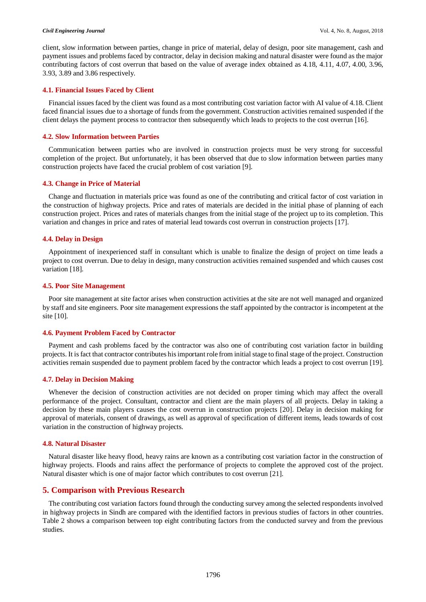client, slow information between parties, change in price of material, delay of design, poor site management, cash and payment issues and problems faced by contractor, delay in decision making and natural disaster were found as the major contributing factors of cost overrun that based on the value of average index obtained as 4.18, 4.11, 4.07, 4.00, 3.96, 3.93, 3.89 and 3.86 respectively.

### **4.1. Financial Issues Faced by Client**

Financial issues faced by the client was found as a most contributing cost variation factor with AI value of 4.18. Client faced financial issues due to a shortage of funds from the government. Construction activities remained suspended if the client delays the payment process to contractor then subsequently which leads to projects to the cost overrun [16].

#### **4.2. Slow Information between Parties**

Communication between parties who are involved in construction projects must be very strong for successful completion of the project. But unfortunately, it has been observed that due to slow information between parties many construction projects have faced the crucial problem of cost variation [9].

#### **4.3. Change in Price of Material**

Change and fluctuation in materials price was found as one of the contributing and critical factor of cost variation in the construction of highway projects. Price and rates of materials are decided in the initial phase of planning of each construction project. Prices and rates of materials changes from the initial stage of the project up to its completion. This variation and changes in price and rates of material lead towards cost overrun in construction projects [17].

## **4.4. Delay in Design**

Appointment of inexperienced staff in consultant which is unable to finalize the design of project on time leads a project to cost overrun. Due to delay in design, many construction activities remained suspended and which causes cost variation [18].

#### **4.5. Poor Site Management**

Poor site management at site factor arises when construction activities at the site are not well managed and organized by staff and site engineers. Poor site management expressions the staff appointed by the contractor is incompetent at the site [10].

### **4.6. Payment Problem Faced by Contractor**

Payment and cash problems faced by the contractor was also one of contributing cost variation factor in building projects. It is fact that contractor contributes his important role from initial stage to final stage of the project. Construction activities remain suspended due to payment problem faced by the contractor which leads a project to cost overrun [19].

#### **4.7. Delay in Decision Making**

Whenever the decision of construction activities are not decided on proper timing which may affect the overall performance of the project. Consultant, contractor and client are the main players of all projects. Delay in taking a decision by these main players causes the cost overrun in construction projects [20]. Delay in decision making for approval of materials, consent of drawings, as well as approval of specification of different items, leads towards of cost variation in the construction of highway projects.

#### **4.8. Natural Disaster**

Natural disaster like heavy flood, heavy rains are known as a contributing cost variation factor in the construction of highway projects. Floods and rains affect the performance of projects to complete the approved cost of the project. Natural disaster which is one of major factor which contributes to cost overrun [21].

# **5. Comparison with Previous Research**

The contributing cost variation factors found through the conducting survey among the selected respondents involved in highway projects in Sindh are compared with the identified factors in previous studies of factors in other countries. Table 2 shows a comparison between top eight contributing factors from the conducted survey and from the previous studies.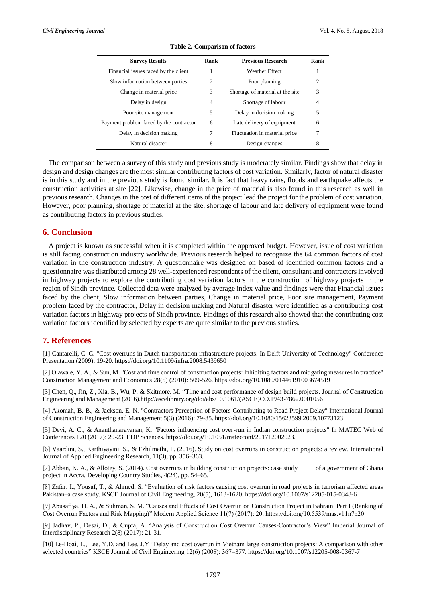| <b>Survey Results</b>                   | Rank | <b>Previous Research</b>         | Rank           |
|-----------------------------------------|------|----------------------------------|----------------|
| Financial issues faced by the client    | 1    | <b>Weather Effect</b>            |                |
| Slow information between parties        | 2    | Poor planning                    | $\overline{c}$ |
| Change in material price.               | 3    | Shortage of material at the site | 3              |
| Delay in design                         | 4    | Shortage of labour               | 4              |
| Poor site management                    | 5    | Delay in decision making         | 5              |
| Payment problem faced by the contractor | 6    | Late delivery of equipment       | 6              |
| Delay in decision making                |      | Fluctuation in material price    | 7              |
| Natural disaster                        | 8    | Design changes                   | 8              |

#### **Table 2. Comparison of factors**

The comparison between a survey of this study and previous study is moderately similar. Findings show that delay in design and design changes are the most similar contributing factors of cost variation. Similarly, factor of natural disaster is in this study and in the previous study is found similar. It is fact that heavy rains, floods and earthquake affects the construction activities at site [22]. Likewise, change in the price of material is also found in this research as well in previous research. Changes in the cost of different items of the project lead the project for the problem of cost variation. However, poor planning, shortage of material at the site, shortage of labour and late delivery of equipment were found as contributing factors in previous studies.

# **6. Conclusion**

A project is known as successful when it is completed within the approved budget. However, issue of cost variation is still facing construction industry worldwide. Previous research helped to recognize the 64 common factors of cost variation in the construction industry. A questionnaire was designed on based of identified common factors and a questionnaire was distributed among 28 well-experienced respondents of the client, consultant and contractors involved in highway projects to explore the contributing cost variation factors in the construction of highway projects in the region of Sindh province. Collected data were analyzed by average index value and findings were that Financial issues faced by the client, Slow information between parties, Change in material price, Poor site management, Payment problem faced by the contractor, Delay in decision making and Natural disaster were identified as a contributing cost variation factors in highway projects of Sindh province. Findings of this research also showed that the contributing cost variation factors identified by selected by experts are quite similar to the previous studies.

# **7. References**

[1] Cantarelli, C. C. "Cost overruns in Dutch transportation infrastructure projects. In Delft University of Technology" Conference Presentation (2009): 19-20. https://doi.org/10.1109/infra.2008.5439650

[2] Olawale, Y. A., & Sun, M. "Cost and time control of construction projects: Inhibiting factors and mitigating measures in practice" Construction Management and Economics 28(5) (2010): 509-526. https://doi.org/10.1080/01446191003674519

[3] Chen, Q., Jin, Z., Xia, B., Wu, P. & Skitmore, M. "Time and cost performance of design build projects. Journal of Construction Engineering and Management (2016).http://ascelibrary.org/doi/abs/10.1061/(ASCE)CO.1943-7862.0001056

[4] Akomah, B. B., & Jackson, E. N. "Contractors Perception of Factors Contributing to Road Project Delay" International Journal of Construction Engineering and Management 5(3) (2016): 79-85. https://doi.org/10.1080/15623599.2009.10773123

[5] Devi, A. C., & Ananthanarayanan, K. "Factors influencing cost over-run in Indian construction projects" In MATEC Web of Conferences 120 (2017): 20-23. EDP Sciences. https://doi.org/10.1051/matecconf/201712002023.

[6] Vaardini, S., Karthiyayini, S., & Ezhilmathi, P. (2016). Study on cost overruns in construction projects: a review. International Journal of Applied Engineering Research, 11(3), pp. 356–363.

[7] Abban, K. A., & Allotey, S. (2014). Cost overruns in building construction projects: case study of a government of Ghana project in Accra. Developing Country Studies, 4(24), pp. 54–65.

[8] Zafar, I., Yousaf, T., & Ahmed, S. "Evaluation of risk factors causing cost overrun in road projects in terrorism affected areas Pakistan–a case study. KSCE Journal of Civil Engineering, 20(5), 1613-1620. https://doi.org/10.1007/s12205-015-0348-6

[9] Abusafiya, H. A., & Suliman, S. M. "Causes and Effects of Cost Overrun on Construction Project in Bahrain: Part I (Ranking of Cost Overrun Factors and Risk Mapping)" Modern Applied Science 11(7) (2017): 20. https://doi.org/10.5539/mas.v11n7p20

[9] Jadhav, P., Desai, D., & Gupta, A. "Analysis of Construction Cost Overrun Causes-Contractor's View" Imperial Journal of Interdisciplinary Research 2(8) (2017): 21-31.

[10] Le-Hoai, L., Lee, Y.D. and Lee, J.Y "Delay and cost overrun in Vietnam large construction projects: A comparison with other selected countries" KSCE Journal of Civil Engineering 12(6) (2008): 367–377. https://doi.org/10.1007/s12205-008-0367-7